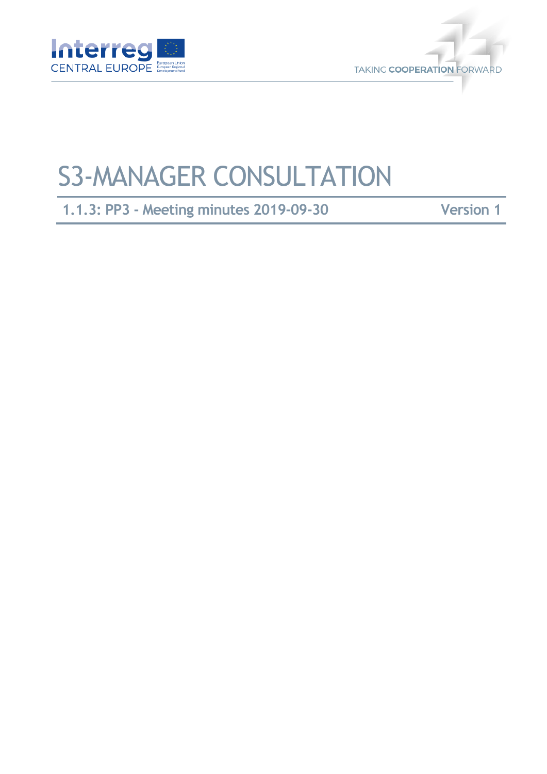



# S3-MANAGER CONSULTATION

**1.1.3: PP3 - Meeting minutes 2019-09-30 Version 1**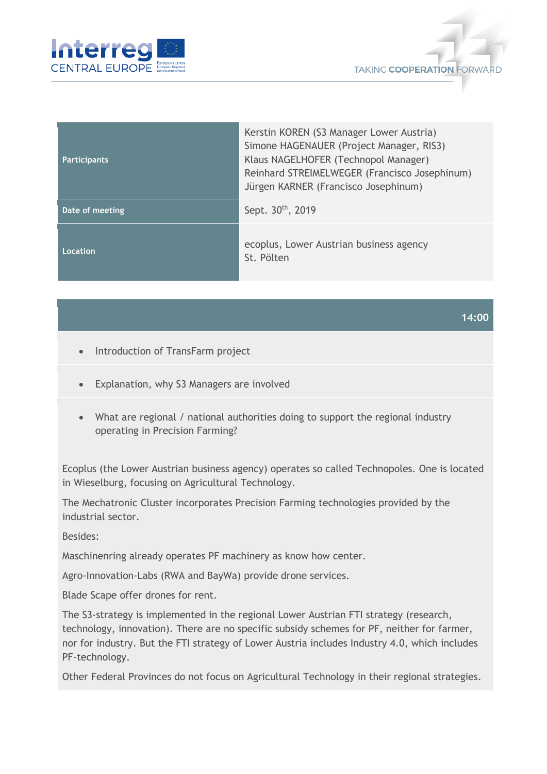



| <b>Participants</b> | Kerstin KOREN (S3 Manager Lower Austria)<br>Simone HAGENAUER (Project Manager, RIS3)<br>Klaus NAGELHOFER (Technopol Manager)<br>Reinhard STREIMELWEGER (Francisco Josephinum)<br>Jürgen KARNER (Francisco Josephinum) |
|---------------------|-----------------------------------------------------------------------------------------------------------------------------------------------------------------------------------------------------------------------|
| Date of meeting     | Sept. 30 <sup>th</sup> , 2019                                                                                                                                                                                         |
| Location            | ecoplus, Lower Austrian business agency<br>St. Pölten                                                                                                                                                                 |

### **14:00**

- Introduction of TransFarm project
- Explanation, why S3 Managers are involved
- What are regional / national authorities doing to support the regional industry operating in Precision Farming?

Ecoplus (the Lower Austrian business agency) operates so called Technopoles. One is located in Wieselburg, focusing on Agricultural Technology.

The Mechatronic Cluster incorporates Precision Farming technologies provided by the industrial sector.

Besides:

Maschinenring already operates PF machinery as know how center.

Agro-Innovation-Labs (RWA and BayWa) provide drone services.

Blade Scape offer drones for rent.

The S3-strategy is implemented in the regional Lower Austrian FTI strategy (research, technology, innovation). There are no specific subsidy schemes for PF, neither for farmer, nor for industry. But the FTI strategy of Lower Austria includes Industry 4.0, which includes PF-technology.

Other Federal Provinces do not focus on Agricultural Technology in their regional strategies.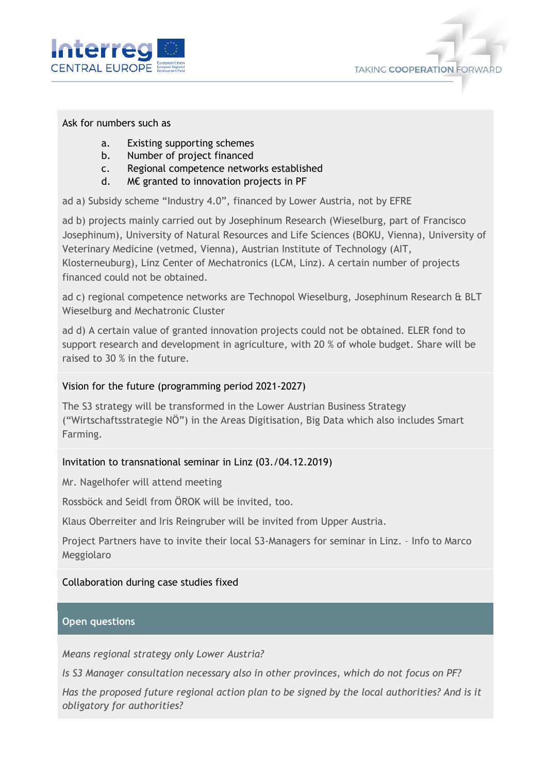



## Ask for numbers such as

- a. Existing supporting schemes
- b. Number of project financed
- c. Regional competence networks established
- d. M€ granted to innovation projects in PF

ad a) Subsidy scheme "Industry 4.0", financed by Lower Austria, not by EFRE

ad b) projects mainly carried out by Josephinum Research (Wieselburg, part of Francisco Josephinum), University of Natural Resources and Life Sciences (BOKU, Vienna), University of Veterinary Medicine (vetmed, Vienna), Austrian Institute of Technology (AIT, Klosterneuburg), Linz Center of Mechatronics (LCM, Linz). A certain number of projects financed could not be obtained.

ad c) regional competence networks are Technopol Wieselburg, Josephinum Research & BLT Wieselburg and Mechatronic Cluster

ad d) A certain value of granted innovation projects could not be obtained. ELER fond to support research and development in agriculture, with 20 % of whole budget. Share will be raised to 30 % in the future.

## Vision for the future (programming period 2021-2027)

The S3 strategy will be transformed in the Lower Austrian Business Strategy ("Wirtschaftsstrategie NÖ") in the Areas Digitisation, Big Data which also includes Smart Farming.

# Invitation to transnational seminar in Linz (03./04.12.2019)

Mr. Nagelhofer will attend meeting

Rossböck and Seidl from ÖROK will be invited, too.

Klaus Oberreiter and Iris Reingruber will be invited from Upper Austria.

Project Partners have to invite their local S3-Managers for seminar in Linz. – Info to Marco Meggiolaro

# Collaboration during case studies fixed

### **Open questions**

*Means regional strategy only Lower Austria?* 

*Is S3 Manager consultation necessary also in other provinces, which do not focus on PF?*

*Has the proposed future regional action plan to be signed by the local authorities? And is it obligatory for authorities?*